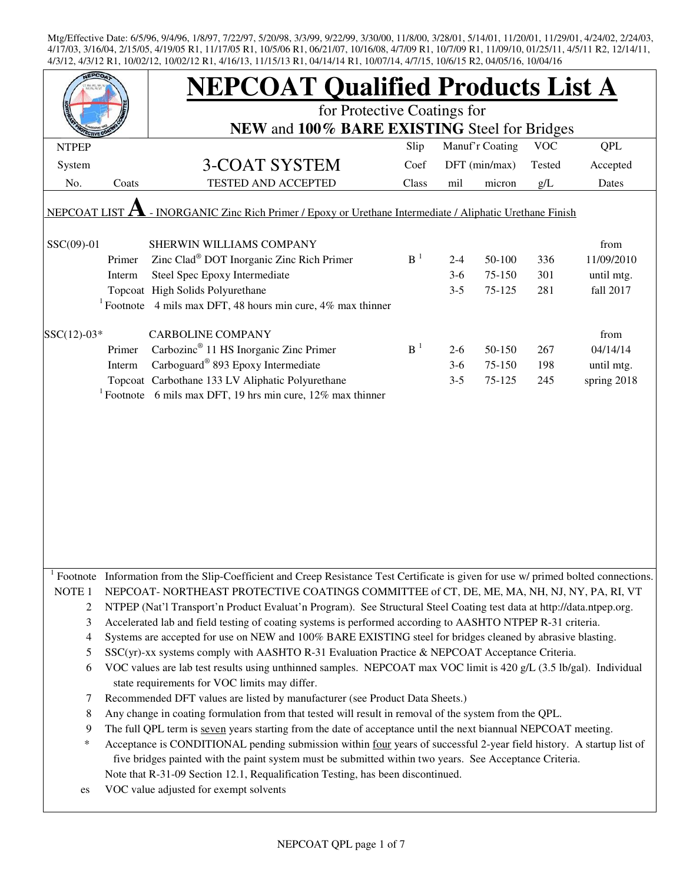|                                                                                                           |        | <b>NEPCOAT Qualified Products List A</b>                                                                                                                                                                                            |                |         |                 |            |             |  |  |
|-----------------------------------------------------------------------------------------------------------|--------|-------------------------------------------------------------------------------------------------------------------------------------------------------------------------------------------------------------------------------------|----------------|---------|-----------------|------------|-------------|--|--|
|                                                                                                           |        | for Protective Coatings for                                                                                                                                                                                                         |                |         |                 |            |             |  |  |
|                                                                                                           |        | NEW and 100% BARE EXISTING Steel for Bridges                                                                                                                                                                                        |                |         |                 |            |             |  |  |
| <b>NTPEP</b>                                                                                              |        |                                                                                                                                                                                                                                     | Slip           |         | Manuf'r Coating | <b>VOC</b> | QPL         |  |  |
| System                                                                                                    |        | <b>3-COAT SYSTEM</b>                                                                                                                                                                                                                | Coef           |         | DFT (min/max)   | Tested     | Accepted    |  |  |
| No.                                                                                                       | Coats  | TESTED AND ACCEPTED                                                                                                                                                                                                                 | Class          | mil     | micron          | g/L        | Dates       |  |  |
| - INORGANIC Zinc Rich Primer / Epoxy or Urethane Intermediate / Aliphatic Urethane Finish<br>NEPCOAT LIST |        |                                                                                                                                                                                                                                     |                |         |                 |            |             |  |  |
| SSC(09)-01                                                                                                |        | SHERWIN WILLIAMS COMPANY                                                                                                                                                                                                            |                |         |                 |            | from        |  |  |
|                                                                                                           | Primer | Zinc Clad <sup>®</sup> DOT Inorganic Zinc Rich Primer                                                                                                                                                                               | B <sup>1</sup> | $2 - 4$ | 50-100          | 336        | 11/09/2010  |  |  |
|                                                                                                           | Interm | Steel Spec Epoxy Intermediate                                                                                                                                                                                                       |                | $3-6$   | 75-150          | 301        | until mtg.  |  |  |
|                                                                                                           |        | Topcoat High Solids Polyurethane                                                                                                                                                                                                    |                | $3 - 5$ | 75-125          | 281        | fall 2017   |  |  |
|                                                                                                           |        | <sup>1</sup> Footnote 4 mils max DFT, 48 hours min cure, 4% max thinner                                                                                                                                                             |                |         |                 |            |             |  |  |
| $SSC(12)-03*$                                                                                             |        | <b>CARBOLINE COMPANY</b>                                                                                                                                                                                                            |                |         |                 |            | from        |  |  |
|                                                                                                           | Primer | Carbozinc <sup>®</sup> 11 HS Inorganic Zinc Primer                                                                                                                                                                                  | B <sup>1</sup> | $2-6$   | 50-150          | 267        | 04/14/14    |  |  |
|                                                                                                           | Interm | Carboguard® 893 Epoxy Intermediate                                                                                                                                                                                                  |                | $3-6$   | 75-150          | 198        | until mtg.  |  |  |
|                                                                                                           |        | Topcoat Carbothane 133 LV Aliphatic Polyurethane                                                                                                                                                                                    |                | $3 - 5$ | 75-125          | 245        | spring 2018 |  |  |
|                                                                                                           |        | <sup>1</sup> Footnote 6 mils max DFT, 19 hrs min cure, 12% max thinner                                                                                                                                                              |                |         |                 |            |             |  |  |
|                                                                                                           |        |                                                                                                                                                                                                                                     |                |         |                 |            |             |  |  |
|                                                                                                           |        |                                                                                                                                                                                                                                     |                |         |                 |            |             |  |  |
|                                                                                                           |        |                                                                                                                                                                                                                                     |                |         |                 |            |             |  |  |
|                                                                                                           |        |                                                                                                                                                                                                                                     |                |         |                 |            |             |  |  |
|                                                                                                           |        |                                                                                                                                                                                                                                     |                |         |                 |            |             |  |  |
|                                                                                                           |        |                                                                                                                                                                                                                                     |                |         |                 |            |             |  |  |
|                                                                                                           |        |                                                                                                                                                                                                                                     |                |         |                 |            |             |  |  |
|                                                                                                           |        |                                                                                                                                                                                                                                     |                |         |                 |            |             |  |  |
|                                                                                                           |        |                                                                                                                                                                                                                                     |                |         |                 |            |             |  |  |
|                                                                                                           |        |                                                                                                                                                                                                                                     |                |         |                 |            |             |  |  |
|                                                                                                           |        | Footnote Information from the Slip-Coefficient and Creep Resistance Test Certificate is given for use w/ primed bolted connections.                                                                                                 |                |         |                 |            |             |  |  |
| NOTE <sub>1</sub>                                                                                         |        | NEPCOAT-NORTHEAST PROTECTIVE COATINGS COMMITTEE of CT, DE, ME, MA, NH, NJ, NY, PA, RI, VT                                                                                                                                           |                |         |                 |            |             |  |  |
| 2                                                                                                         |        | NTPEP (Nat'l Transport'n Product Evaluat'n Program). See Structural Steel Coating test data at http://data.ntpep.org.<br>Accelerated lab and field testing of coating systems is performed according to AASHTO NTPEP R-31 criteria. |                |         |                 |            |             |  |  |
| 3<br>4                                                                                                    |        | Systems are accepted for use on NEW and 100% BARE EXISTING steel for bridges cleaned by abrasive blasting.                                                                                                                          |                |         |                 |            |             |  |  |
| 5                                                                                                         |        | SSC(yr)-xx systems comply with AASHTO R-31 Evaluation Practice & NEPCOAT Acceptance Criteria.                                                                                                                                       |                |         |                 |            |             |  |  |
| 6                                                                                                         |        | VOC values are lab test results using unthinned samples. NEPCOAT max VOC limit is 420 g/L (3.5 lb/gal). Individual                                                                                                                  |                |         |                 |            |             |  |  |
|                                                                                                           |        | state requirements for VOC limits may differ.                                                                                                                                                                                       |                |         |                 |            |             |  |  |
| 7                                                                                                         |        | Recommended DFT values are listed by manufacturer (see Product Data Sheets.)                                                                                                                                                        |                |         |                 |            |             |  |  |
| 8                                                                                                         |        | Any change in coating formulation from that tested will result in removal of the system from the QPL.                                                                                                                               |                |         |                 |            |             |  |  |
| 9                                                                                                         |        | The full QPL term is seven years starting from the date of acceptance until the next biannual NEPCOAT meeting.                                                                                                                      |                |         |                 |            |             |  |  |
| ∗                                                                                                         |        | Acceptance is CONDITIONAL pending submission within four years of successful 2-year field history. A startup list of                                                                                                                |                |         |                 |            |             |  |  |
|                                                                                                           |        | five bridges painted with the paint system must be submitted within two years. See Acceptance Criteria.                                                                                                                             |                |         |                 |            |             |  |  |
|                                                                                                           |        | Note that R-31-09 Section 12.1, Requalification Testing, has been discontinued.                                                                                                                                                     |                |         |                 |            |             |  |  |
| es                                                                                                        |        | VOC value adjusted for exempt solvents                                                                                                                                                                                              |                |         |                 |            |             |  |  |
|                                                                                                           |        |                                                                                                                                                                                                                                     |                |         |                 |            |             |  |  |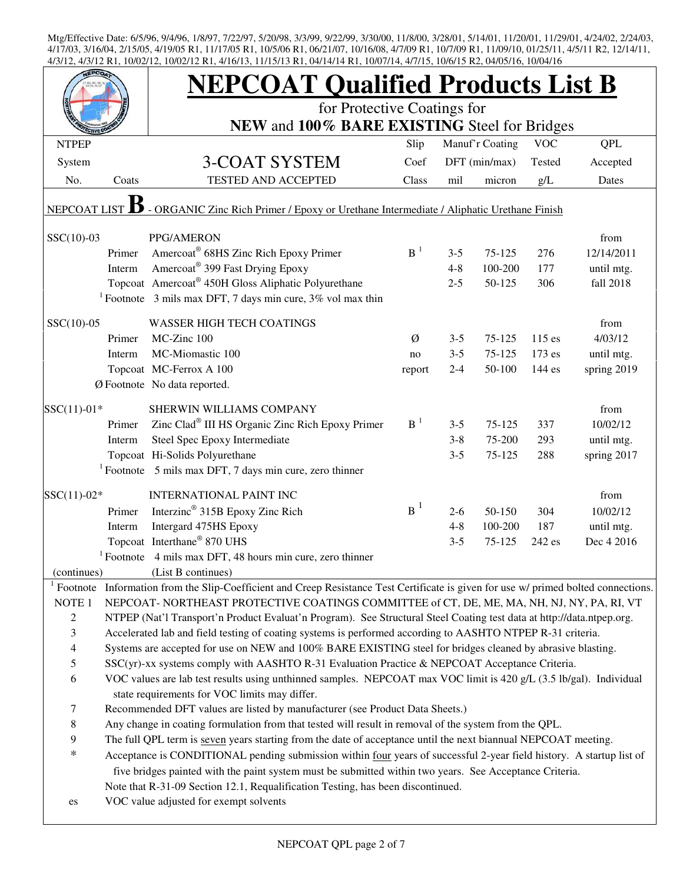|                                                                                                                |                                           |        | <b>NEPCOAT Qualified Products List B</b>                                                                                                                                                                            |                |         |                 |            |             |  |
|----------------------------------------------------------------------------------------------------------------|-------------------------------------------|--------|---------------------------------------------------------------------------------------------------------------------------------------------------------------------------------------------------------------------|----------------|---------|-----------------|------------|-------------|--|
|                                                                                                                |                                           |        | for Protective Coatings for                                                                                                                                                                                         |                |         |                 |            |             |  |
|                                                                                                                |                                           |        | NEW and 100% BARE EXISTING Steel for Bridges                                                                                                                                                                        |                |         |                 |            |             |  |
|                                                                                                                | <b>NTPEP</b>                              |        |                                                                                                                                                                                                                     | Slip           |         | Manuf'r Coating | <b>VOC</b> | <b>QPL</b>  |  |
|                                                                                                                | System                                    |        | 3-COAT SYSTEM                                                                                                                                                                                                       | Coef           |         | DFT (min/max)   | Tested     | Accepted    |  |
|                                                                                                                | No.                                       | Coats  | TESTED AND ACCEPTED                                                                                                                                                                                                 | Class          | mil     | micron          | g/L        | Dates       |  |
| - ORGANIC Zinc Rich Primer / Epoxy or Urethane Intermediate / Aliphatic Urethane Finish<br><b>NEPCOAT LIST</b> |                                           |        |                                                                                                                                                                                                                     |                |         |                 |            |             |  |
|                                                                                                                | $SSC(10)-03$                              |        | PPG/AMERON                                                                                                                                                                                                          |                |         |                 |            | from        |  |
|                                                                                                                |                                           | Primer | Amercoat <sup>®</sup> 68HS Zinc Rich Epoxy Primer                                                                                                                                                                   | B <sup>1</sup> | $3 - 5$ | $75 - 125$      | 276        | 12/14/2011  |  |
|                                                                                                                |                                           | Interm | Amercoat® 399 Fast Drying Epoxy                                                                                                                                                                                     |                | $4 - 8$ | 100-200         | 177        | until mtg.  |  |
|                                                                                                                |                                           |        | Topcoat Amercoat® 450H Gloss Aliphatic Polyurethane                                                                                                                                                                 |                | $2 - 5$ | 50-125          | 306        | fall 2018   |  |
|                                                                                                                |                                           |        | <sup>1</sup> Footnote 3 mils max DFT, 7 days min cure, $3\%$ vol max thin                                                                                                                                           |                |         |                 |            |             |  |
|                                                                                                                | $SSC(10)-05$                              |        | <b>WASSER HIGH TECH COATINGS</b>                                                                                                                                                                                    |                |         |                 |            | from        |  |
|                                                                                                                |                                           | Primer | MC-Zinc 100                                                                                                                                                                                                         | Ø              | $3 - 5$ | 75-125          | 115 es     | 4/03/12     |  |
|                                                                                                                |                                           | Interm | MC-Miomastic 100                                                                                                                                                                                                    | no             | $3 - 5$ | 75-125          | 173 es     | until mtg.  |  |
|                                                                                                                |                                           |        | Topcoat MC-Ferrox A 100                                                                                                                                                                                             | report         | $2 - 4$ | 50-100          | 144 es     | spring 2019 |  |
|                                                                                                                |                                           |        | Ø Footnote No data reported.                                                                                                                                                                                        |                |         |                 |            |             |  |
|                                                                                                                | $SSC(11)-01*$                             |        | SHERWIN WILLIAMS COMPANY                                                                                                                                                                                            |                |         |                 |            | from        |  |
|                                                                                                                |                                           | Primer | Zinc Clad® III HS Organic Zinc Rich Epoxy Primer                                                                                                                                                                    | $B-1$          | $3 - 5$ | 75-125          | 337        | 10/02/12    |  |
|                                                                                                                |                                           | Interm | Steel Spec Epoxy Intermediate                                                                                                                                                                                       |                | $3 - 8$ | 75-200          | 293        | until mtg.  |  |
|                                                                                                                |                                           |        | Topcoat Hi-Solids Polyurethane                                                                                                                                                                                      |                | $3 - 5$ | 75-125          | 288        | spring 2017 |  |
|                                                                                                                |                                           |        | $1$ Footnote 5 mils max DFT, 7 days min cure, zero thinner                                                                                                                                                          |                |         |                 |            |             |  |
|                                                                                                                |                                           |        |                                                                                                                                                                                                                     |                |         |                 |            |             |  |
|                                                                                                                | $SSC(11)-02*$                             |        | <b>INTERNATIONAL PAINT INC</b>                                                                                                                                                                                      |                |         |                 |            | from        |  |
|                                                                                                                |                                           | Primer | Interzinc <sup>®</sup> 315B Epoxy Zinc Rich                                                                                                                                                                         | $B^1$          | $2 - 6$ | 50-150          | 304        | 10/02/12    |  |
|                                                                                                                |                                           | Interm | Intergard 475HS Epoxy                                                                                                                                                                                               |                | $4 - 8$ | 100-200         | 187        | until mtg.  |  |
|                                                                                                                |                                           |        | Topcoat Interthane® 870 UHS                                                                                                                                                                                         |                | $3 - 5$ | 75-125          | 242 es     | Dec 4 2016  |  |
|                                                                                                                |                                           |        | $1$ Footnote 4 mils max DFT, 48 hours min cure, zero thinner                                                                                                                                                        |                |         |                 |            |             |  |
|                                                                                                                | (continues)                               |        | (List B continues)                                                                                                                                                                                                  |                |         |                 |            |             |  |
|                                                                                                                | $1$ Footnote                              |        | Information from the Slip-Coefficient and Creep Resistance Test Certificate is given for use w/ primed bolted connections.                                                                                          |                |         |                 |            |             |  |
|                                                                                                                | NOTE 1                                    |        | NEPCOAT-NORTHEAST PROTECTIVE COATINGS COMMITTEE of CT, DE, ME, MA, NH, NJ, NY, PA, RI, VT                                                                                                                           |                |         |                 |            |             |  |
|                                                                                                                | $\sqrt{2}$                                |        | NTPEP (Nat'l Transport'n Product Evaluat'n Program). See Structural Steel Coating test data at http://data.ntpep.org.                                                                                               |                |         |                 |            |             |  |
|                                                                                                                | 3                                         |        | Accelerated lab and field testing of coating systems is performed according to AASHTO NTPEP R-31 criteria.                                                                                                          |                |         |                 |            |             |  |
|                                                                                                                | $\overline{\mathcal{A}}$<br>$\mathfrak s$ |        | Systems are accepted for use on NEW and 100% BARE EXISTING steel for bridges cleaned by abrasive blasting.                                                                                                          |                |         |                 |            |             |  |
|                                                                                                                | $\sqrt{6}$                                |        | SSC(yr)-xx systems comply with AASHTO R-31 Evaluation Practice & NEPCOAT Acceptance Criteria.<br>VOC values are lab test results using unthinned samples. NEPCOAT max VOC limit is 420 g/L (3.5 lb/gal). Individual |                |         |                 |            |             |  |
|                                                                                                                |                                           |        | state requirements for VOC limits may differ.                                                                                                                                                                       |                |         |                 |            |             |  |
|                                                                                                                | $\tau$                                    |        | Recommended DFT values are listed by manufacturer (see Product Data Sheets.)                                                                                                                                        |                |         |                 |            |             |  |
|                                                                                                                | $\,8\,$                                   |        | Any change in coating formulation from that tested will result in removal of the system from the QPL.                                                                                                               |                |         |                 |            |             |  |
|                                                                                                                | 9                                         |        | The full QPL term is seven years starting from the date of acceptance until the next biannual NEPCOAT meeting.                                                                                                      |                |         |                 |            |             |  |
|                                                                                                                | $\ast$                                    |        | Acceptance is CONDITIONAL pending submission within four years of successful 2-year field history. A startup list of                                                                                                |                |         |                 |            |             |  |
|                                                                                                                |                                           |        | five bridges painted with the paint system must be submitted within two years. See Acceptance Criteria.                                                                                                             |                |         |                 |            |             |  |
|                                                                                                                |                                           |        | Note that R-31-09 Section 12.1, Requalification Testing, has been discontinued.                                                                                                                                     |                |         |                 |            |             |  |
|                                                                                                                | es                                        |        | VOC value adjusted for exempt solvents                                                                                                                                                                              |                |         |                 |            |             |  |
|                                                                                                                |                                           |        |                                                                                                                                                                                                                     |                |         |                 |            |             |  |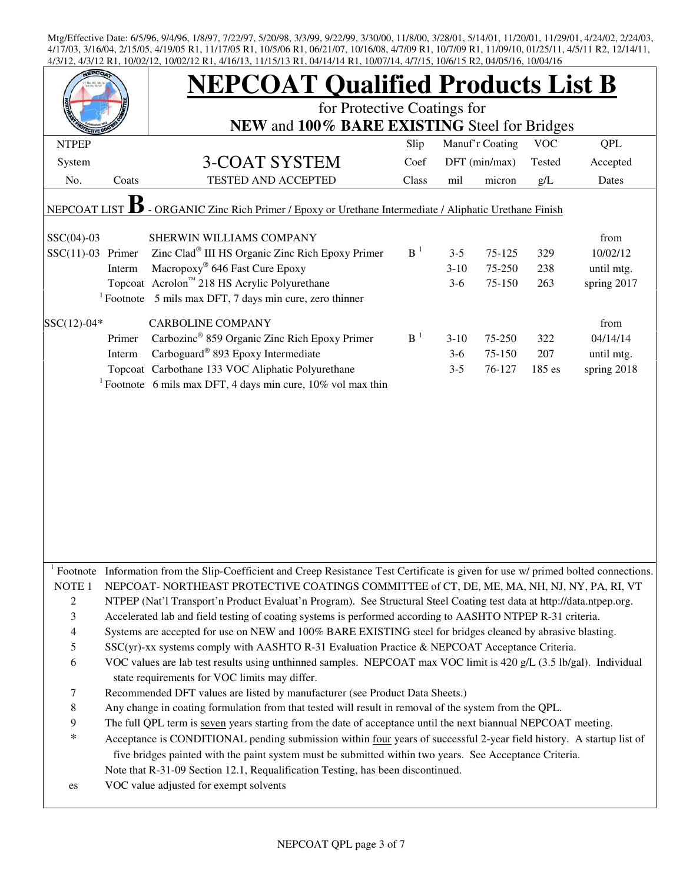| INI, TV/02/12, TV/02/12 INI, 4/TV/19, TI/19/19 INI, 04/T4/T4 INI, TV/0//T4, 4/7/T9, TV/0/T9 IN2, 04/09/T0, TV/04/T0<br><b>JEPCO</b> |        | <b>NEPCOAT Qualified Products List B</b><br>for Protective Coatings for                                                                                                                                                                                                                                            |                |         |                 |            |             |  |
|-------------------------------------------------------------------------------------------------------------------------------------|--------|--------------------------------------------------------------------------------------------------------------------------------------------------------------------------------------------------------------------------------------------------------------------------------------------------------------------|----------------|---------|-----------------|------------|-------------|--|
|                                                                                                                                     |        | NEW and 100% BARE EXISTING Steel for Bridges                                                                                                                                                                                                                                                                       |                |         |                 |            |             |  |
| <b>NTPEP</b>                                                                                                                        |        |                                                                                                                                                                                                                                                                                                                    | Slip           |         | Manuf'r Coating | <b>VOC</b> | QPL         |  |
| System                                                                                                                              |        | 3-COAT SYSTEM                                                                                                                                                                                                                                                                                                      | Coef           |         | DFT (min/max)   | Tested     | Accepted    |  |
| No.                                                                                                                                 | Coats  | <b>TESTED AND ACCEPTED</b>                                                                                                                                                                                                                                                                                         | Class          | mil     | micron          | g/L        | Dates       |  |
| <b>NEPCOAT LIS</b>                                                                                                                  |        | - ORGANIC Zinc Rich Primer / Epoxy or Urethane Intermediate / Aliphatic Urethane Finish                                                                                                                                                                                                                            |                |         |                 |            |             |  |
| $SSC(04)-03$                                                                                                                        |        | SHERWIN WILLIAMS COMPANY                                                                                                                                                                                                                                                                                           |                |         |                 |            | from        |  |
| $SSC(11)-03$ Primer                                                                                                                 |        | Zinc Clad® III HS Organic Zinc Rich Epoxy Primer                                                                                                                                                                                                                                                                   | $B-1$          | $3 - 5$ | 75-125          | 329        | 10/02/12    |  |
|                                                                                                                                     | Interm | Macropoxy <sup>®</sup> 646 Fast Cure Epoxy                                                                                                                                                                                                                                                                         |                | $3-10$  | 75-250          | 238        | until mtg.  |  |
|                                                                                                                                     |        | Topcoat Acrolon™ 218 HS Acrylic Polyurethane                                                                                                                                                                                                                                                                       |                | $3-6$   | 75-150          | 263        | spring 2017 |  |
|                                                                                                                                     |        | $1$ Footnote 5 mils max DFT, 7 days min cure, zero thinner                                                                                                                                                                                                                                                         |                |         |                 |            |             |  |
| $SSC(12)-04*$                                                                                                                       |        | <b>CARBOLINE COMPANY</b>                                                                                                                                                                                                                                                                                           |                |         |                 |            | from        |  |
|                                                                                                                                     | Primer | Carbozinc <sup>®</sup> 859 Organic Zinc Rich Epoxy Primer                                                                                                                                                                                                                                                          | B <sup>1</sup> | $3-10$  | 75-250          | 322        | 04/14/14    |  |
|                                                                                                                                     | Interm | Carboguard <sup>®</sup> 893 Epoxy Intermediate                                                                                                                                                                                                                                                                     |                | $3-6$   | 75-150          | 207        | until mtg.  |  |
|                                                                                                                                     |        | Topcoat Carbothane 133 VOC Aliphatic Polyurethane                                                                                                                                                                                                                                                                  |                | $3 - 5$ | 76-127          | 185 es     | spring 2018 |  |
|                                                                                                                                     |        | <sup>1</sup> Footnote 6 mils max DFT, 4 days min cure, $10\%$ vol max thin                                                                                                                                                                                                                                         |                |         |                 |            |             |  |
|                                                                                                                                     |        |                                                                                                                                                                                                                                                                                                                    |                |         |                 |            |             |  |
|                                                                                                                                     |        | Footnote Information from the Slip-Coefficient and Creep Resistance Test Certificate is given for use w/ primed bolted connections.                                                                                                                                                                                |                |         |                 |            |             |  |
| NOTE 1                                                                                                                              |        | NEPCOAT- NORTHEAST PROTECTIVE COATINGS COMMITTEE of CT, DE, ME, MA, NH, NJ, NY, PA, RI, VT                                                                                                                                                                                                                         |                |         |                 |            |             |  |
| $\overline{2}$                                                                                                                      |        | NTPEP (Nat'l Transport'n Product Evaluat'n Program). See Structural Steel Coating test data at http://data.ntpep.org.                                                                                                                                                                                              |                |         |                 |            |             |  |
| 3                                                                                                                                   |        | Accelerated lab and field testing of coating systems is performed according to AASHTO NTPEP R-31 criteria.                                                                                                                                                                                                         |                |         |                 |            |             |  |
| $\overline{4}$                                                                                                                      |        | Systems are accepted for use on NEW and 100% BARE EXISTING steel for bridges cleaned by abrasive blasting.                                                                                                                                                                                                         |                |         |                 |            |             |  |
| 5                                                                                                                                   |        | SSC(yr)-xx systems comply with AASHTO R-31 Evaluation Practice & NEPCOAT Acceptance Criteria.                                                                                                                                                                                                                      |                |         |                 |            |             |  |
| 6                                                                                                                                   |        | VOC values are lab test results using unthinned samples. NEPCOAT max VOC limit is 420 g/L (3.5 lb/gal). Individual<br>state requirements for VOC limits may differ.                                                                                                                                                |                |         |                 |            |             |  |
| 7                                                                                                                                   |        | Recommended DFT values are listed by manufacturer (see Product Data Sheets.)                                                                                                                                                                                                                                       |                |         |                 |            |             |  |
| 8                                                                                                                                   |        | Any change in coating formulation from that tested will result in removal of the system from the QPL.                                                                                                                                                                                                              |                |         |                 |            |             |  |
| 9                                                                                                                                   |        | The full QPL term is seven years starting from the date of acceptance until the next biannual NEPCOAT meeting.                                                                                                                                                                                                     |                |         |                 |            |             |  |
| $\ast$                                                                                                                              |        | Acceptance is CONDITIONAL pending submission within four years of successful 2-year field history. A startup list of<br>five bridges painted with the paint system must be submitted within two years. See Acceptance Criteria.<br>Note that R-31-09 Section 12.1, Requalification Testing, has been discontinued. |                |         |                 |            |             |  |
| es                                                                                                                                  |        | VOC value adjusted for exempt solvents                                                                                                                                                                                                                                                                             |                |         |                 |            |             |  |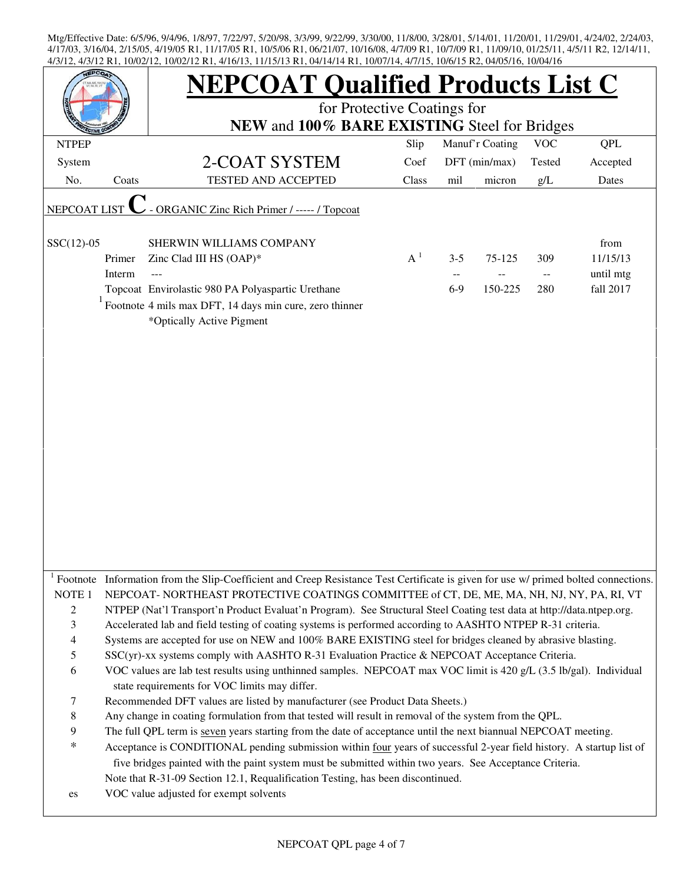|                          |        | <b>NEPCOAT Qualified Products List C</b><br>for Protective Coatings for                                                                                                                                                                                                                                            |       |                          |                 |                             |            |  |  |
|--------------------------|--------|--------------------------------------------------------------------------------------------------------------------------------------------------------------------------------------------------------------------------------------------------------------------------------------------------------------------|-------|--------------------------|-----------------|-----------------------------|------------|--|--|
|                          |        | NEW and 100% BARE EXISTING Steel for Bridges                                                                                                                                                                                                                                                                       |       |                          |                 |                             |            |  |  |
| <b>NTPEP</b>             |        |                                                                                                                                                                                                                                                                                                                    | Slip  |                          | Manuf'r Coating | <b>VOC</b>                  | <b>QPL</b> |  |  |
| System                   |        | 2-COAT SYSTEM                                                                                                                                                                                                                                                                                                      | Coef  |                          | DFT (min/max)   | Tested                      | Accepted   |  |  |
| No.                      | Coats  | TESTED AND ACCEPTED                                                                                                                                                                                                                                                                                                | Class | mil                      | micron          | g/L                         | Dates      |  |  |
| NEPCOAT LIST             |        | - ORGANIC Zinc Rich Primer / ----- / Topcoat                                                                                                                                                                                                                                                                       |       |                          |                 |                             |            |  |  |
|                          |        |                                                                                                                                                                                                                                                                                                                    |       |                          |                 |                             |            |  |  |
| $SSC(12)-05$             |        | SHERWIN WILLIAMS COMPANY                                                                                                                                                                                                                                                                                           |       |                          |                 |                             | from       |  |  |
|                          | Primer | Zinc Clad III HS (OAP)*                                                                                                                                                                                                                                                                                            | $A^1$ | $3 - 5$                  | 75-125          | 309                         | 11/15/13   |  |  |
|                          | Interm |                                                                                                                                                                                                                                                                                                                    |       | $\overline{\phantom{a}}$ |                 | $\mathcal{L} = \mathcal{L}$ | until mtg  |  |  |
|                          |        | Topcoat Envirolastic 980 PA Polyaspartic Urethane                                                                                                                                                                                                                                                                  |       | $6-9$                    | 150-225         | 280                         | fall 2017  |  |  |
|                          |        | $1$ Footnote 4 mils max DFT, 14 days min cure, zero thinner<br>*Optically Active Pigment                                                                                                                                                                                                                           |       |                          |                 |                             |            |  |  |
|                          |        |                                                                                                                                                                                                                                                                                                                    |       |                          |                 |                             |            |  |  |
|                          |        | <sup>1</sup> Footnote Information from the Slip-Coefficient and Creep Resistance Test Certificate is given for use w/ primed bolted connections.                                                                                                                                                                   |       |                          |                 |                             |            |  |  |
| NOTE <sub>1</sub>        |        | NEPCOAT-NORTHEAST PROTECTIVE COATINGS COMMITTEE of CT, DE, ME, MA, NH, NJ, NY, PA, RI, VT                                                                                                                                                                                                                          |       |                          |                 |                             |            |  |  |
| $\overline{c}$           |        | NTPEP (Nat'l Transport'n Product Evaluat'n Program). See Structural Steel Coating test data at http://data.ntpep.org.                                                                                                                                                                                              |       |                          |                 |                             |            |  |  |
| 3                        |        | Accelerated lab and field testing of coating systems is performed according to AASHTO NTPEP R-31 criteria.                                                                                                                                                                                                         |       |                          |                 |                             |            |  |  |
| $\overline{\mathcal{A}}$ |        | Systems are accepted for use on NEW and 100% BARE EXISTING steel for bridges cleaned by abrasive blasting.                                                                                                                                                                                                         |       |                          |                 |                             |            |  |  |
| 5                        |        | SSC(yr)-xx systems comply with AASHTO R-31 Evaluation Practice & NEPCOAT Acceptance Criteria.                                                                                                                                                                                                                      |       |                          |                 |                             |            |  |  |
| 6                        |        | VOC values are lab test results using unthinned samples. NEPCOAT max VOC limit is 420 g/L (3.5 lb/gal). Individual<br>state requirements for VOC limits may differ.                                                                                                                                                |       |                          |                 |                             |            |  |  |
| 7                        |        | Recommended DFT values are listed by manufacturer (see Product Data Sheets.)                                                                                                                                                                                                                                       |       |                          |                 |                             |            |  |  |
| 8                        |        | Any change in coating formulation from that tested will result in removal of the system from the QPL.                                                                                                                                                                                                              |       |                          |                 |                             |            |  |  |
| 9                        |        | The full QPL term is seven years starting from the date of acceptance until the next biannual NEPCOAT meeting.                                                                                                                                                                                                     |       |                          |                 |                             |            |  |  |
| $\ast$                   |        | Acceptance is CONDITIONAL pending submission within four years of successful 2-year field history. A startup list of<br>five bridges painted with the paint system must be submitted within two years. See Acceptance Criteria.<br>Note that R-31-09 Section 12.1, Requalification Testing, has been discontinued. |       |                          |                 |                             |            |  |  |
| es                       |        | VOC value adjusted for exempt solvents                                                                                                                                                                                                                                                                             |       |                          |                 |                             |            |  |  |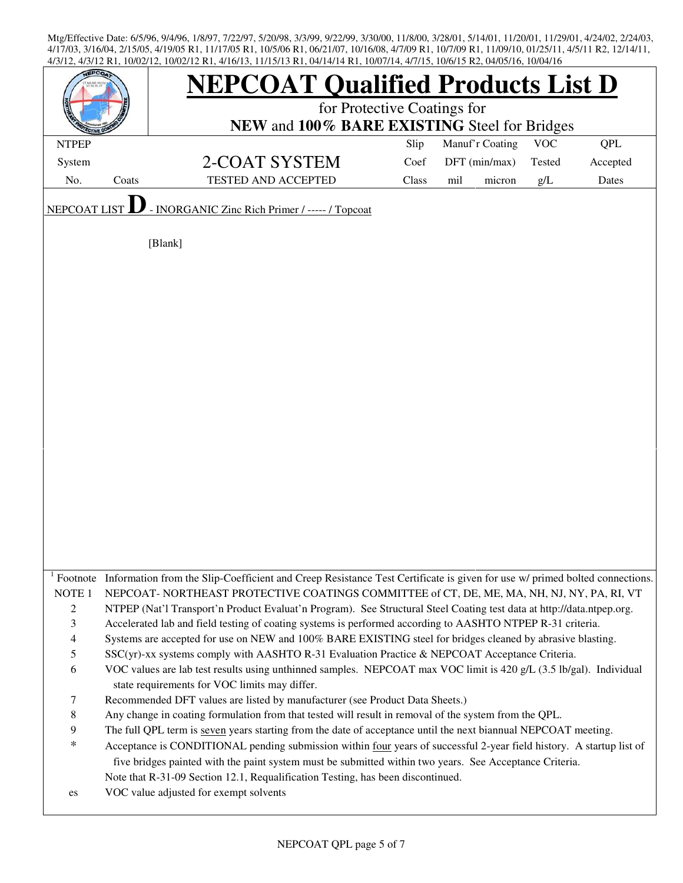|                                              |       | <b>NEPCOAT Qualified Products List D</b><br>for Protective Coatings for                                                                                                                    |       |                 |            |            |  |
|----------------------------------------------|-------|--------------------------------------------------------------------------------------------------------------------------------------------------------------------------------------------|-------|-----------------|------------|------------|--|
| NEW and 100% BARE EXISTING Steel for Bridges |       |                                                                                                                                                                                            |       |                 |            |            |  |
| <b>NTPEP</b>                                 |       |                                                                                                                                                                                            | Slip  | Manuf'r Coating | <b>VOC</b> | <b>QPL</b> |  |
| System                                       |       | 2-COAT SYSTEM                                                                                                                                                                              | Coef  | DFT (min/max)   | Tested     | Accepted   |  |
| No.                                          | Coats | TESTED AND ACCEPTED                                                                                                                                                                        | Class | micron<br>mil   | g/L        | Dates      |  |
| <b>NEPCOAT</b>                               |       | - INORGANIC Zinc Rich Primer / ----- / Topcoat                                                                                                                                             |       |                 |            |            |  |
|                                              |       | [Blank]                                                                                                                                                                                    |       |                 |            |            |  |
|                                              |       |                                                                                                                                                                                            |       |                 |            |            |  |
|                                              |       |                                                                                                                                                                                            |       |                 |            |            |  |
|                                              |       |                                                                                                                                                                                            |       |                 |            |            |  |
|                                              |       |                                                                                                                                                                                            |       |                 |            |            |  |
|                                              |       |                                                                                                                                                                                            |       |                 |            |            |  |
|                                              |       |                                                                                                                                                                                            |       |                 |            |            |  |
|                                              |       |                                                                                                                                                                                            |       |                 |            |            |  |
|                                              |       |                                                                                                                                                                                            |       |                 |            |            |  |
|                                              |       |                                                                                                                                                                                            |       |                 |            |            |  |
|                                              |       |                                                                                                                                                                                            |       |                 |            |            |  |
|                                              |       |                                                                                                                                                                                            |       |                 |            |            |  |
|                                              |       |                                                                                                                                                                                            |       |                 |            |            |  |
|                                              |       |                                                                                                                                                                                            |       |                 |            |            |  |
|                                              |       |                                                                                                                                                                                            |       |                 |            |            |  |
|                                              |       |                                                                                                                                                                                            |       |                 |            |            |  |
|                                              |       |                                                                                                                                                                                            |       |                 |            |            |  |
|                                              |       |                                                                                                                                                                                            |       |                 |            |            |  |
|                                              |       |                                                                                                                                                                                            |       |                 |            |            |  |
|                                              |       |                                                                                                                                                                                            |       |                 |            |            |  |
|                                              |       |                                                                                                                                                                                            |       |                 |            |            |  |
|                                              |       | Footnote Information from the Slip-Coefficient and Creep Resistance Test Certificate is given for use w/ primed bolted connections.                                                        |       |                 |            |            |  |
| NOTE <sub>1</sub>                            |       | NEPCOAT-NORTHEAST PROTECTIVE COATINGS COMMITTEE of CT, DE, ME, MA, NH, NJ, NY, PA, RI, VT                                                                                                  |       |                 |            |            |  |
| $\overline{c}$                               |       | NTPEP (Nat'l Transport'n Product Evaluat'n Program). See Structural Steel Coating test data at http://data.ntpep.org.                                                                      |       |                 |            |            |  |
| $\mathfrak{Z}$                               |       | Accelerated lab and field testing of coating systems is performed according to AASHTO NTPEP R-31 criteria.                                                                                 |       |                 |            |            |  |
| $\overline{\mathcal{A}}$                     |       | Systems are accepted for use on NEW and 100% BARE EXISTING steel for bridges cleaned by abrasive blasting.                                                                                 |       |                 |            |            |  |
| 5                                            |       | SSC(yr)-xx systems comply with AASHTO R-31 Evaluation Practice & NEPCOAT Acceptance Criteria.                                                                                              |       |                 |            |            |  |
| 6                                            |       | VOC values are lab test results using unthinned samples. NEPCOAT max VOC limit is 420 g/L (3.5 lb/gal). Individual                                                                         |       |                 |            |            |  |
|                                              |       | state requirements for VOC limits may differ.                                                                                                                                              |       |                 |            |            |  |
| 7                                            |       | Recommended DFT values are listed by manufacturer (see Product Data Sheets.)                                                                                                               |       |                 |            |            |  |
| 8                                            |       | Any change in coating formulation from that tested will result in removal of the system from the QPL.                                                                                      |       |                 |            |            |  |
| 9<br>$\ast$                                  |       | The full QPL term is seven years starting from the date of acceptance until the next biannual NEPCOAT meeting.                                                                             |       |                 |            |            |  |
|                                              |       | Acceptance is CONDITIONAL pending submission within four years of successful 2-year field history. A startup list of                                                                       |       |                 |            |            |  |
|                                              |       | five bridges painted with the paint system must be submitted within two years. See Acceptance Criteria.<br>Note that R-31-09 Section 12.1, Requalification Testing, has been discontinued. |       |                 |            |            |  |
|                                              |       | VOC value adjusted for exempt solvents                                                                                                                                                     |       |                 |            |            |  |
| es                                           |       |                                                                                                                                                                                            |       |                 |            |            |  |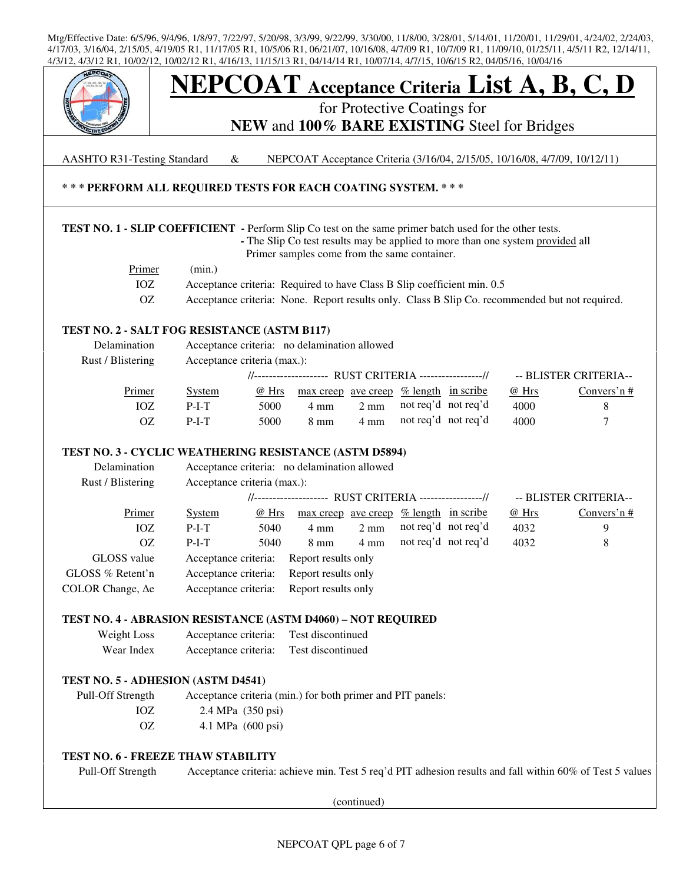